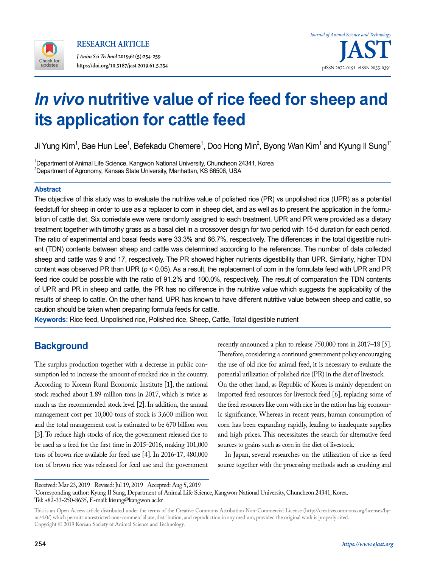

# *In vivo* **nutritive value of rice feed for sheep and its application for cattle feed**

Ji Yung Kim $^{\rm 1}$ , Bae Hun Lee $^{\rm 1}$ , Befekadu Chemere $^{\rm 1}$ , Doo Hong Min $^{\rm 2}$ , Byong Wan Kim $^{\rm 1}$  and Kyung II Sung $^{\rm 1}$ 

1 Department of Animal Life Science, Kangwon National University, Chuncheon 24341, Korea  $^2$ Department of Agronomy, Kansas State University, Manhattan, KS 66506, USA

### **Abstract**

The objective of this study was to evaluate the nutritive value of polished rice (PR) vs unpolished rice (UPR) as a potential feedstuff for sheep in order to use as a replacer to corn in sheep diet, and as well as to present the application in the formulation of cattle diet. Six corriedale ewe were randomly assigned to each treatment. UPR and PR were provided as a dietary treatment together with timothy grass as a basal diet in a crossover design for two period with 15-d duration for each period. The ratio of experimental and basal feeds were 33.3% and 66.7%, respectively. The differences in the total digestible nutrient (TDN) contents between sheep and cattle was determined according to the references. The number of data collected sheep and cattle was 9 and 17, respectively. The PR showed higher nutrients digestibility than UPR. Similarly, higher TDN content was observed PR than UPR (*p* < 0.05). As a result, the replacement of corn in the formulate feed with UPR and PR feed rice could be possible with the ratio of 91.2% and 100.0%, respectively. The result of comparation the TDN contents of UPR and PR in sheep and cattle, the PR has no difference in the nutritive value which suggests the applicability of the results of sheep to cattle. On the other hand, UPR has known to have different nutritive value between sheep and cattle, so caution should be taken when preparing formula feeds for cattle.

**Keywords:** Rice feed, Unpolished rice, Polished rice, Sheep, Cattle, Total digestible nutrient

## **Background**

The surplus production together with a decrease in public consumption led to increase the amount of stocked rice in the country. According to Korean Rural Economic Institute [1], the national stock reached about 1.89 million tons in 2017, which is twice as much as the recommended stock level [2]. In addition, the annual management cost per 10,000 tons of stock is 3,600 million won and the total management cost is estimated to be 670 billion won [3]. To reduce high stocks of rice, the government released rice to be used as a feed for the first time in 2015-2016, making 101,000 tons of brown rice available for feed use [4]. In 2016-17, 480,000 ton of brown rice was released for feed use and the government

recently announced a plan to release 750,000 tons in 2017–18 [5]. Therefore, considering a continued government policy encouraging the use of old rice for animal feed, it is necessary to evaluate the potential utilization of polished rice (PR) in the diet of livestock.

On the other hand, as Republic of Korea is mainly dependent on imported feed resources for livestock feed [6], replacing some of the feed resources like corn with rice in the ration has big economic significance. Whereas in recent years, human consumption of corn has been expanding rapidly, leading to inadequate supplies and high prices. This necessitates the search for alternative feed sources to grains such as corn in the diet of livestock.

In Japan, several researches on the utilization of rice as feed source together with the processing methods such as crushing and

Received: Mar 23, 2019 Revised: Jul 19, 2019 Accepted: Aug 5, 2019 \* Corresponding author: Kyung Il Sung, Department of Animal Life Science, Kangwon National University, Chuncheon 24341, Korea. Tel: +82-33-250-8635, E-mail: kisung@kangwon.ac.kr

This is an Open Access article distributed under the terms of the Creative Commons Attribution Non-Commercial License ([http://creativecommons.org/licenses/by](http://creativecommons.org/licenses/by-nc/4.0/)[nc/4.0/\)](http://creativecommons.org/licenses/by-nc/4.0/) which permits unrestricted non-commercial use, distribution, and reproduction in any medium, provided the original work is properly cited. Copyright © 2019 Korean Society of Animal Science and Technology.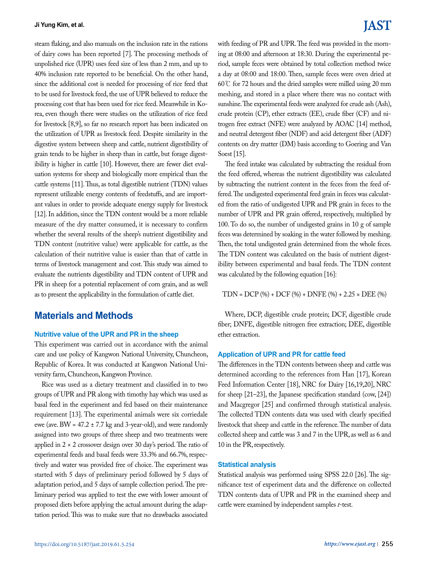steam flaking, and also manuals on the inclusion rate in the rations of dairy cows has been reported [7]. The processing methods of unpolished rice (UPR) uses feed size of less than 2 mm, and up to 40% inclusion rate reported to be beneficial. On the other hand, since the additional cost is needed for processing of rice feed that to be used for livestock feed, the use of UPR believed to reduce the processing cost that has been used for rice feed. Meanwhile in Korea, even though there were studies on the utilization of rice feed for livestock [8,9], so far no research report has been indicated on the utilization of UPR as livestock feed. Despite similarity in the digestive system between sheep and cattle, nutrient digestibility of grain tends to be higher in sheep than in cattle, but forage digestibility is higher in cattle [10]. However, there are fewer diet evaluation systems for sheep and biologically more empirical than the cattle systems [11]. Thus, as total digestible nutrient (TDN) values represent utilizable energy contents of feedstuffs, and are important values in order to provide adequate energy supply for livestock [12]. In addition, since the TDN content would be a more reliable measure of the dry matter consumed, it is necessary to confirm whether the several results of the sheep's nutrient digestibility and TDN content (nutritive value) were applicable for cattle, as the calculation of their nutritive value is easier than that of cattle in terms of livestock management and cost. This study was aimed to evaluate the nutrients digestibility and TDN content of UPR and PR in sheep for a potential replacement of corn grain, and as well as to present the applicability in the formulation of cattle diet.

### **Materials and Methods**

### **Nutritive value of the UPR and PR in the sheep**

This experiment was carried out in accordance with the animal care and use policy of Kangwon National University, Chuncheon, Republic of Korea. It was conducted at Kangwon National University farm, Chuncheon, Kangwon Province.

Rice was used as a dietary treatment and classified in to two groups of UPR and PR along with timothy hay which was used as basal feed in the experiment and fed based on their maintenance requirement [13]. The experimental animals were six corriedale ewe (ave. BW =  $47.2 \pm 7.7$  kg and 3-year-old), and were randomly assigned into two groups of three sheep and two treatments were applied in  $2 \times 2$  crossover design over 30 day's period. The ratio of experimental feeds and basal feeds were 33.3% and 66.7%, respectively and water was provided free of choice. The experiment was started with 5 days of preliminary period followed by 5 days of adaptation period, and 5 days of sample collection period. The preliminary period was applied to test the ewe with lower amount of proposed diets before applying the actual amount during the adaptation period. This was to make sure that no drawbacks associated

## **IAST**

with feeding of PR and UPR. The feed was provided in the morning at 08:00 and afternoon at 18:30. During the experimental period, sample feces were obtained by total collection method twice a day at 08:00 and 18:00. Then, sample feces were oven dried at 60℃ for 72 hours and the dried samples were milled using 20 mm meshing, and stored in a place where there was no contact with sunshine. The experimental feeds were analyzed for crude ash (Ash), crude protein (CP), ether extracts (EE), crude fiber (CF) and nitrogen free extract (NFE) were analyzed by AOAC [14] method, and neutral detergent fiber (NDF) and acid detergent fiber (ADF) contents on dry matter (DM) basis according to Goering and Van Soest [15].

The feed intake was calculated by subtracting the residual from the feed offered, whereas the nutrient digestibility was calculated by subtracting the nutrient content in the feces from the feed offered. The undigested experimental feed grain in feces was calculated from the ratio of undigested UPR and PR grain in feces to the number of UPR and PR grain offered, respectively, multiplied by 100. To do so, the number of undigested grains in 10 g of sample feces was determined by soaking in the water followed by meshing. Then, the total undigested grain determined from the whole feces. The TDN content was calculated on the basis of nutrient digestibility between experimental and basal feeds. The TDN content was calculated by the following equation [16]:

TDN = DCP (%) + DCF (%) + DNFE (%) + 2.25 × DEE (%)

Where, DCP, digestible crude protein; DCF, digestible crude fiber; DNFE, digestible nitrogen free extraction; DEE, digestible ether extraction.

### **Application of UPR and PR for cattle feed**

The differences in the TDN contents between sheep and cattle was determined according to the references from Han [17], Korean Feed Information Center [18], NRC for Dairy [16,19,20], NRC for sheep [21–23], the Japanese specification standard (cow, [24]) and Macgregor [25] and confirmed through statistical analysis. The collected TDN contents data was used with clearly specified livestock that sheep and cattle in the reference. The number of data collected sheep and cattle was 3 and 7 in the UPR, as well as 6 and 10 in the PR, respectively.

### **Statistical analysis**

Statistical analysis was performed using SPSS 22.0 [26]. The significance test of experiment data and the difference on collected TDN contents data of UPR and PR in the examined sheep and cattle were examined by independent samples *t*-test.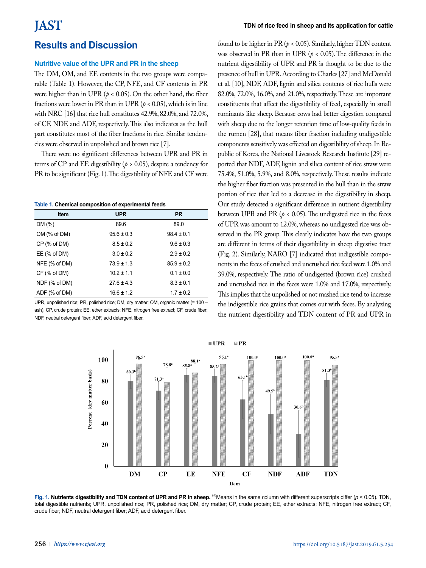### **Results and Discussion**

### **Nutritive value of the UPR and PR in the sheep**

The DM, OM, and EE contents in the two groups were comparable (Table 1). However, the CP, NFE, and CF contents in PR were higher than in UPR ( $p < 0.05$ ). On the other hand, the fiber fractions were lower in PR than in UPR ( $p < 0.05$ ), which is in line with NRC [16] that rice hull constitutes 42.9%, 82.0%, and 72.0%, of CF, NDF, and ADF, respectively. This also indicates as the hull part constitutes most of the fiber fractions in rice. Similar tendencies were observed in unpolished and brown rice [7].

There were no significant differences between UPR and PR in terms of CP and EE digestibility ( $p > 0.05$ ), despite a tendency for PR to be significant (Fig. 1). The digestibility of NFE and CF were

#### **Table 1. Chemical composition of experimental feeds**

| Item              | <b>UPR</b>     | <b>PR</b>      |
|-------------------|----------------|----------------|
| DM(%)             | 89.6           | 89.0           |
| OM (% of DM)      | $95.6 \pm 0.3$ | $98.4 \pm 0.1$ |
| CP (% of DM)      | $8.5 \pm 0.2$  | $9.6 \pm 0.3$  |
| EE $(%$ (% of DM) | $3.0 \pm 0.2$  | $2.9 \pm 0.2$  |
| NFE (% of DM)     | $73.9 \pm 1.3$ | $85.9 \pm 0.2$ |
| $CF$ (% of DM)    | $10.2 \pm 1.1$ | $0.1 \pm 0.0$  |
| NDF (% of DM)     | $27.6 \pm 4.3$ | $8.3 \pm 0.1$  |
| ADF (% of DM)     | $16.6 \pm 1.2$ | $1.7 \pm 0.2$  |

UPR, unpolished rice; PR, polished rice; DM, dry matter; OM, organic matter (= 100 – ash); CP, crude protein; EE, ether extracts; NFE, nitrogen free extract; CF, crude fiber; NDF, neutral detergent fiber; ADF, acid detergent fiber.

found to be higher in PR ( $p < 0.05$ ). Similarly, higher TDN content was observed in PR than in UPR (*p* < 0.05). The difference in the nutrient digestibility of UPR and PR is thought to be due to the presence of hull in UPR. According to Charles [27] and McDonald et al. [10], NDF, ADF, lignin and silica contents of rice hulls were 82.0%, 72.0%, 16.0%, and 21.0%, respectively. These are important constituents that affect the digestibility of feed, especially in small ruminants like sheep. Because cows had better digestion compared with sheep due to the longer retention time of low-quality feeds in the rumen [28], that means fiber fraction including undigestible components sensitively was effected on digestibility of sheep. In Republic of Korea, the National Livestock Research Institute [29] reported that NDF, ADF, lignin and silica content of rice straw were 75.4%, 51.0%, 5.9%, and 8.0%, respectively. These results indicate the higher fiber fraction was presented in the hull than in the straw portion of rice that led to a decrease in the digestibility in sheep. Our study detected a significant difference in nutrient digestibility between UPR and PR ( $p < 0.05$ ). The undigested rice in the feces of UPR was amount to 12.0%, whereas no undigested rice was observed in the PR group. This clearly indicates how the two groups are different in terms of their digestibility in sheep digestive tract (Fig. 2). Similarly, NARO [7] indicated that indigestible components in the feces of crushed and uncrushed rice feed were 1.0% and 39.0%, respectively. The ratio of undigested (brown rice) crushed and uncrushed rice in the feces were 1.0% and 17.0%, respectively. This implies that the unpolished or not mashed rice tend to increase the indigestible rice grains that comes out with feces. By analyzing the nutrient digestibility and TDN content of PR and UPR in



**Fig. 1. Nutrients digestibility and TDN content of UPR and PR in sheep.** <sup>a,b</sup>Means in the same column with different superscripts differ ( $p < 0.05$ ). TDN, total digestible nutrients; UPR, unpolished rice; PR, polished rice; DM, dry matter; CP, crude protein; EE, ether extracts; NFE, nitrogen free extract; CF, crude fiber; NDF, neutral detergent fiber; ADF, acid detergent fiber.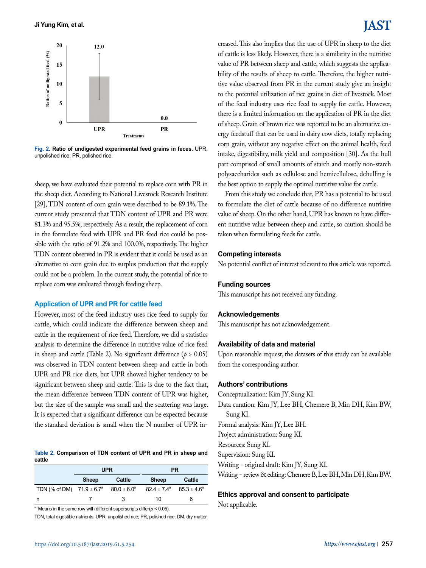

**Fig. 2. Ratio of undigested experimental feed grains in feces.** UPR, unpolished rice; PR, polished rice.

sheep, we have evaluated their potential to replace corn with PR in the sheep diet. According to National Livestock Research Institute [29], TDN content of corn grain were described to be 89.1%. The current study presented that TDN content of UPR and PR were 81.3% and 95.5%, respectively. As a result, the replacement of corn in the formulate feed with UPR and PR feed rice could be possible with the ratio of 91.2% and 100.0%, respectively. The higher TDN content observed in PR is evident that it could be used as an alternative to corn grain due to surplus production that the supply could not be a problem. In the current study, the potential of rice to replace corn was evaluated through feeding sheep.

### **Application of UPR and PR for cattle feed**

However, most of the feed industry uses rice feed to supply for cattle, which could indicate the difference between sheep and cattle in the requirement of rice feed. Therefore, we did a statistics analysis to determine the difference in nutritive value of rice feed in sheep and cattle (Table 2). No significant difference ( $p > 0.05$ ) was observed in TDN content between sheep and cattle in both UPR and PR rice diets, but UPR showed higher tendency to be significant between sheep and cattle. This is due to the fact that, the mean difference between TDN content of UPR was higher, but the size of the sample was small and the scattering was large. It is expected that a significant difference can be expected because the standard deviation is small when the N number of UPR in-

**Table 2. Comparison of TDN content of UPR and PR in sheep and cattle**

|                                      | <b>UPR</b>   |                        | <b>PR</b>              |                        |
|--------------------------------------|--------------|------------------------|------------------------|------------------------|
|                                      | <b>Sheep</b> | Cattle                 | <b>Sheep</b>           | Cattle                 |
| TDN (% of DM) $71.9 \pm 6.7^{\circ}$ |              | $80.0 \pm 6.0^{\circ}$ | $82.4 \pm 7.4^{\circ}$ | $85.3 \pm 4.6^{\circ}$ |
|                                      |              | 3                      | 10                     | 6                      |

<sup>a,b</sup>Means in the same row with different superscripts differ( $p < 0.05$ ).

TDN, total digestible nutrients; UPR, unpolished rice; PR, polished rice; DM, dry matter.

## IAST

creased. This also implies that the use of UPR in sheep to the diet of cattle is less likely. However, there is a similarity in the nutritive value of PR between sheep and cattle, which suggests the applicability of the results of sheep to cattle. Therefore, the higher nutritive value observed from PR in the current study give an insight to the potential utilization of rice grains in diet of livestock. Most of the feed industry uses rice feed to supply for cattle. However, there is a limited information on the application of PR in the diet of sheep. Grain of brown rice was reported to be an alternative energy feedstuff that can be used in dairy cow diets, totally replacing corn grain, without any negative effect on the animal health, feed intake, digestibility, milk yield and composition [30]. As the hull part comprised of small amounts of starch and mostly non-starch polysaccharides such as cellulose and hemicellulose, dehulling is the best option to supply the optimal nutritive value for cattle.

From this study we conclude that, PR has a potential to be used to formulate the diet of cattle because of no difference nutritive value of sheep. On the other hand, UPR has known to have different nutritive value between sheep and cattle, so caution should be taken when formulating feeds for cattle.

### **Competing interests**

No potential conflict of interest relevant to this article was reported.

### **Funding sources**

This manuscript has not received any funding.

### **Acknowledgements**

This manuscript has not acknowledgement.

### **Availability of data and material**

Upon reasonable request, the datasets of this study can be available from the corresponding author.

### **Authors' contributions**

Conceptualization: Kim JY, Sung KI. Data curation: Kim JY, Lee BH, Chemere B, Min DH, Kim BW, Sung KI. Formal analysis: Kim JY, Lee BH. Project administration: Sung KI. Resources: Sung KI. Supervision: Sung KI. Writing - original draft: Kim JY, Sung KI. Writing - review & editing: Chemere B, Lee BH, Min DH, Kim BW.

### **Ethics approval and consent to participate**

Not applicable.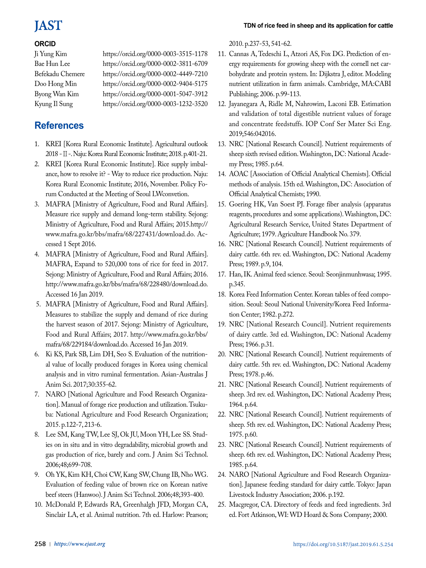## **JAST**

### **ORCID**

Ji Yung Kim https://orcid.org/0000-0003-3515-1178 Bae Hun Lee https://orcid.org/0000-0002-3811-6709 Befekadu Chemere https://orcid.org/0000-0002-4449-7210 Doo Hong Min https://orcid.org/0000-0002-9404-5175 Byong Wan Kim https://orcid.org/0000-0001-5047-3912 Kyung Il Sung https://orcid.org/0000-0003-1232-3520

## **References**

- 1. KREI [Korea Rural Economic Institute]. Agricultural outlook 2018 -Ⅱ-. Naju: Korea Rural Economic Institute; 2018. p.401-21.
- 2. KREI [Korea Rural Economic Institute]. Rice supply imbalance, how to resolve it? - Way to reduce rice production. Naju: Korea Rural Economic Institute; 2016, November. Policy Forum Conducted at the Meeting of Seoul LWconvetion.
- 3. MAFRA [Ministry of Agriculture, Food and Rural Affairs]. Measure rice supply and demand long-term stability. Sejong: Ministry of Agriculture, Food and Rural Affairs; 2015.[http://](http://www.mafra.go.kr/bbs/mafra/68/227431/download.do) [www.mafra.go.kr/bbs/mafra/68/227431/download.do.](http://www.mafra.go.kr/bbs/mafra/68/227431/download.do) Accessed 1 Sept 2016.
- 4. MAFRA [Ministry of Agriculture, Food and Rural Affairs]. MAFRA, Expand to 520,000 tons of rice for feed in 2017. Sejong: Ministry of Agriculture, Food and Rural Affairs; 2016. [http://www.mafra.go.kr/bbs/mafra/68/228480/download.do.](http://www.mafra.go.kr/bbs/mafra/68/228480/download.do) Accessed 16 Jan 2019.
- 5. MAFRA [Ministry of Agriculture, Food and Rural Affairs]. Measures to stabilize the supply and demand of rice during the harvest season of 2017. Sejong: Ministry of Agriculture, Food and Rural Affairs; 2017. [http://www.mafra.go.kr/bbs/](http://www.mafra.go.kr/bbs/mafra/68/229184/download.do) [mafra/68/229184/download.do.](http://www.mafra.go.kr/bbs/mafra/68/229184/download.do) Accessed 16 Jan 2019.
- 6. Ki KS, Park SB, Lim DH, Seo S. Evaluation of the nutritional value of locally produced forages in Korea using chemical analysis and in vitro ruminal fermentation. Asian-Australas J Anim Sci. 2017;30:355-62.
- 7. NARO [National Agriculture and Food Research Organization]. Manual of forage rice production and utilization. Tsukuba: National Agriculture and Food Research Organization; 2015. p.122-7, 213-6.
- 8. Lee SM, Kang TW, Lee SJ, Ok JU, Moon YH, Lee SS. Studies on in situ and in vitro degradability, microbial growth and gas production of rice, barely and corn. J Anim Sci Technol. 2006;48;699-708.
- 9. Oh YK, Kim KH, Choi CW, Kang SW, Chung IB, Nho WG. Evaluation of feeding value of brown rice on Korean native beef steers (Hanwoo). J Anim Sci Technol. 2006;48;393-400.
- 10. McDonald P, Edwards RA, Greenhalgh JFD, Morgan CA, Sinclair LA, et al. Animal nutrition. 7th ed. Harlow: Pearson;

2010. p.237-53, 541-62.

- 11. Cannas A, Tedeschi L, Atzori AS, Fox DG. Prediction of energy requirements for growing sheep with the cornell net carbohydrate and protein system. In: Dijkstra J, editor. Modeling nutrient utilization in farm animals. Cambridge, MA:CABI Publishing; 2006. p.99-113.
- 12. Jayanegara A, Ridle M, Nahrowim, Laconi EB. Estimation and validation of total digestible nutrient values of forage and concentrate feedstuffs. IOP Conf Ser Mater Sci Eng. 2019;546:042016.
- 13. NRC [National Research Council]. Nutrient requirements of sheep sixth revised edition. Washington, DC: National Academy Press; 1985. p.64.
- 14. AOAC [Association of Official Analytical Chemists]. Official methods of analysis. 15th ed. Washington, DC: Association of Official Analytical Chemists; 1990.
- 15. Goering HK, Van Soest PJ. Forage fiber analysis (apparatus reagents, procedures and some applications). Washington, DC: Agricultural Research Service, United States Department of Agriculture; 1979. Agriculture Handbook No. 379.
- 16. NRC [National Research Council]. Nutrient requirements of dairy cattle. 6th rev. ed. Washington, DC: National Academy Press; 1989. p.9, 104.
- 17. Han, IK. Animal feed science. Seoul: Seonjinmunhwasa; 1995. p.345.
- 18. Korea Feed Information Center. Korean tables of feed composition. Seoul: Seoul National University/Korea Feed Information Center; 1982. p.272.
- 19. NRC [National Research Council]. Nutrient requirements of dairy cattle. 3rd ed. Washington, DC: National Academy Press; 1966. p.31.
- 20. NRC [National Research Council]. Nutrient requirements of dairy cattle. 5th rev. ed. Washington, DC: National Academy Press; 1978. p.46.
- 21. NRC [National Research Council]. Nutrient requirements of sheep. 3rd rev. ed. Washington, DC: National Academy Press; 1964. p.64.
- 22. NRC [National Research Council]. Nutrient requirements of sheep. 5th rev. ed. Washington, DC: National Academy Press; 1975. p.60.
- 23. NRC [National Research Council]. Nutrient requirements of sheep. 6th rev. ed. Washington, DC: National Academy Press; 1985. p.64.
- 24. NARO [National Agriculture and Food Research Organization]. Japanese feeding standard for dairy cattle. Tokyo: Japan Livestock Industry Association; 2006. p.192.
- 25. Macgregor, CA. Directory of feeds and feed ingredients. 3rd ed. Fort Atkinson, WI: WD Hoard & Sons Company; 2000.